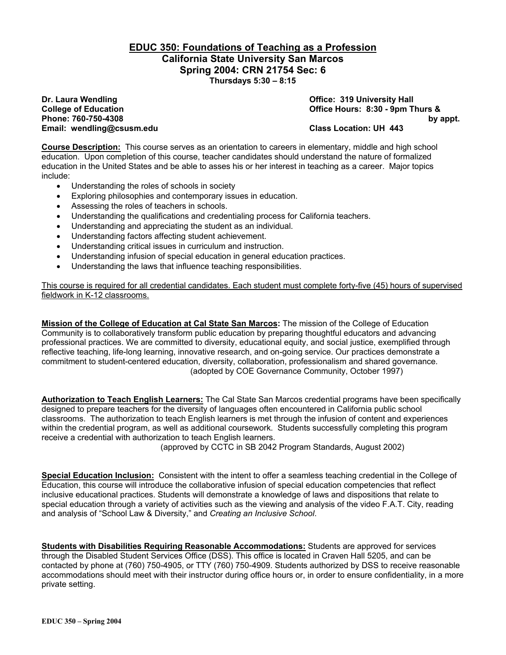### **EDUC 350: Foundations of Teaching as a Profession California State University San Marcos Spring 2004: CRN 21754 Sec: 6 Thursdays 5:30 – 8:15**

**Email: wendling@csusm.edu Class Location: UH 443** 

**Dr. Laura Wendling Community Community Community Community Community Community Community Community Community Community Community Community Community Community Community Community Community Community Community Community Co College of Education Office Hours: 8:30 - 9pm Thurs & Phone: 760-750-4308 by appt.** 

**Course Description:** This course serves as an orientation to careers in elementary, middle and high school education. Upon completion of this course, teacher candidates should understand the nature of formalized education in the United States and be able to asses his or her interest in teaching as a career. Major topics include:

- Understanding the roles of schools in society
- Exploring philosophies and contemporary issues in education.
- Assessing the roles of teachers in schools.
- Understanding the qualifications and credentialing process for California teachers.
- Understanding and appreciating the student as an individual.
- Understanding factors affecting student achievement.
- Understanding critical issues in curriculum and instruction.
- Understanding infusion of special education in general education practices.
- Understanding the laws that influence teaching responsibilities.

This course is required for all credential candidates. Each student must complete forty-five (45) hours of supervised fieldwork in K-12 classrooms.

**Mission of the College of Education at Cal State San Marcos:** The mission of the College of Education Community is to collaboratively transform public education by preparing thoughtful educators and advancing professional practices. We are committed to diversity, educational equity, and social justice, exemplified through reflective teaching, life-long learning, innovative research, and on-going service. Our practices demonstrate a commitment to student-centered education, diversity, collaboration, professionalism and shared governance. (adopted by COE Governance Community, October 1997)

**Authorization to Teach English Learners:** The Cal State San Marcos credential programs have been specifically designed to prepare teachers for the diversity of languages often encountered in California public school classrooms. The authorization to teach English learners is met through the infusion of content and experiences within the credential program, as well as additional coursework. Students successfully completing this program receive a credential with authorization to teach English learners.

(approved by CCTC in SB 2042 Program Standards, August 2002)

**Special Education Inclusion:** Consistent with the intent to offer a seamless teaching credential in the College of Education, this course will introduce the collaborative infusion of special education competencies that reflect inclusive educational practices. Students will demonstrate a knowledge of laws and dispositions that relate to special education through a variety of activities such as the viewing and analysis of the video F.A.T. City, reading and analysis of "School Law & Diversity," and *Creating an Inclusive School*.

**Students with Disabilities Requiring Reasonable Accommodations:** Students are approved for services through the Disabled Student Services Office (DSS). This office is located in Craven Hall 5205, and can be contacted by phone at (760) 750-4905, or TTY (760) 750-4909. Students authorized by DSS to receive reasonable accommodations should meet with their instructor during office hours or, in order to ensure confidentiality, in a more private setting.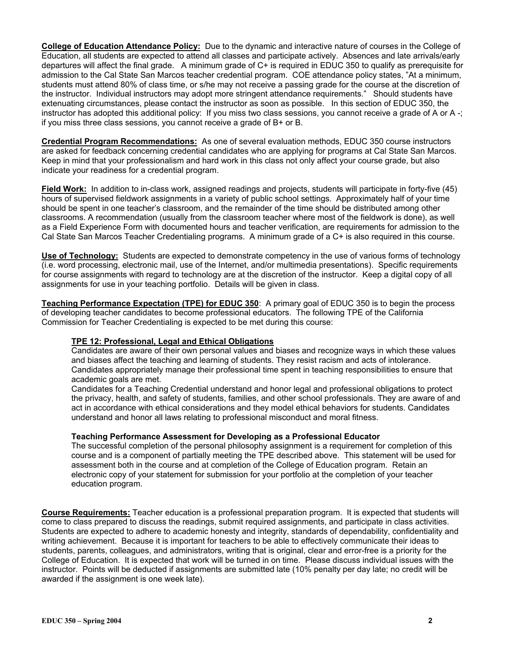**College of Education Attendance Policy:** Due to the dynamic and interactive nature of courses in the College of Education, all students are expected to attend all classes and participate actively. Absences and late arrivals/early departures will affect the final grade. A minimum grade of C+ is required in EDUC 350 to qualify as prerequisite for admission to the Cal State San Marcos teacher credential program. COE attendance policy states, "At a minimum, students must attend 80% of class time, or s/he may not receive a passing grade for the course at the discretion of the instructor. Individual instructors may adopt more stringent attendance requirements." Should students have extenuating circumstances, please contact the instructor as soon as possible. In this section of EDUC 350, the instructor has adopted this additional policy: If you miss two class sessions, you cannot receive a grade of A or A -; if you miss three class sessions, you cannot receive a grade of B+ or B.

**Credential Program Recommendations:** As one of several evaluation methods, EDUC 350 course instructors are asked for feedback concerning credential candidates who are applying for programs at Cal State San Marcos. Keep in mind that your professionalism and hard work in this class not only affect your course grade, but also indicate your readiness for a credential program.

**Field Work:** In addition to in-class work, assigned readings and projects, students will participate in forty-five (45) hours of supervised fieldwork assignments in a variety of public school settings. Approximately half of your time should be spent in one teacher's classroom, and the remainder of the time should be distributed among other classrooms. A recommendation (usually from the classroom teacher where most of the fieldwork is done), as well as a Field Experience Form with documented hours and teacher verification, are requirements for admission to the Cal State San Marcos Teacher Credentialing programs. A minimum grade of a C+ is also required in this course.

**Use of Technology:** Students are expected to demonstrate competency in the use of various forms of technology (i.e. word processing, electronic mail, use of the Internet, and/or multimedia presentations). Specific requirements for course assignments with regard to technology are at the discretion of the instructor. Keep a digital copy of all assignments for use in your teaching portfolio. Details will be given in class.

**Teaching Performance Expectation (TPE) for EDUC 350**: A primary goal of EDUC 350 is to begin the process of developing teacher candidates to become professional educators. The following TPE of the California Commission for Teacher Credentialing is expected to be met during this course:

### **TPE 12: Professional, Legal and Ethical Obligations**

Candidates are aware of their own personal values and biases and recognize ways in which these values and biases affect the teaching and learning of students. They resist racism and acts of intolerance. Candidates appropriately manage their professional time spent in teaching responsibilities to ensure that academic goals are met.

Candidates for a Teaching Credential understand and honor legal and professional obligations to protect the privacy, health, and safety of students, families, and other school professionals. They are aware of and act in accordance with ethical considerations and they model ethical behaviors for students. Candidates understand and honor all laws relating to professional misconduct and moral fitness.

### **Teaching Performance Assessment for Developing as a Professional Educator**

The successful completion of the personal philosophy assignment is a requirement for completion of this course and is a component of partially meeting the TPE described above. This statement will be used for assessment both in the course and at completion of the College of Education program. Retain an electronic copy of your statement for submission for your portfolio at the completion of your teacher education program.

**Course Requirements:** Teacher education is a professional preparation program. It is expected that students will come to class prepared to discuss the readings, submit required assignments, and participate in class activities. Students are expected to adhere to academic honesty and integrity, standards of dependability, confidentiality and writing achievement. Because it is important for teachers to be able to effectively communicate their ideas to students, parents, colleagues, and administrators, writing that is original, clear and error-free is a priority for the College of Education. It is expected that work will be turned in on time. Please discuss individual issues with the instructor. Points will be deducted if assignments are submitted late (10% penalty per day late; no credit will be awarded if the assignment is one week late).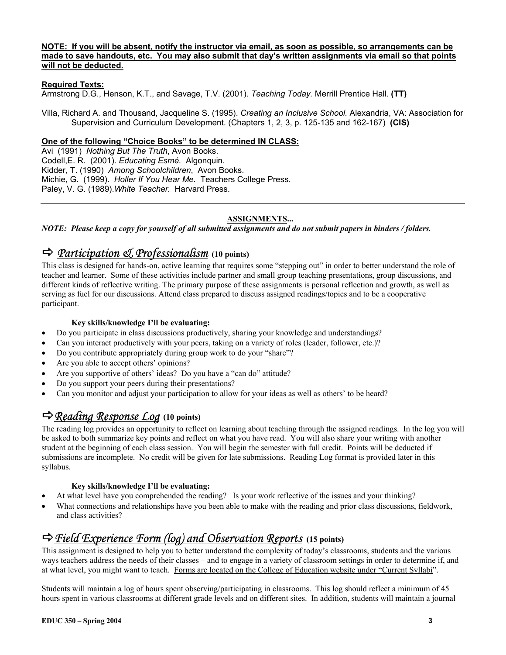### **NOTE: If you will be absent, notify the instructor via email, as soon as possible, so arrangements can be made to save handouts, etc. You may also submit that day's written assignments via email so that points will not be deducted.**

### **Required Texts:**

Armstrong D.G., Henson, K.T., and Savage, T.V. (2001). *Teaching Today.* Merrill Prentice Hall. **(TT)**

Villa, Richard A. and Thousand, Jacqueline S. (1995). *Creating an Inclusive School.* Alexandria, VA: Association for Supervision and Curriculum Development. (Chapters 1, 2, 3, p. 125-135 and 162-167) **(CIS)**

### **One of the following "Choice Books" to be determined IN CLASS:**

Avi (1991) *Nothing But The Truth*, Avon Books. Codell,E. R. (2001). *Educating Esmé.* Algonquin. Kidder, T. (1990) *Among Schoolchildren*, Avon Books. Michie, G. (1999). *Holler If You Hear Me.* Teachers College Press. Paley, V. G. (1989).*White Teacher.* Harvard Press.

### **ASSIGNMENTS...**

*NOTE: Please keep a copy for yourself of all submitted assignments and do not submit papers in binders / folders.* 

# D *Participation & Professionalism* **(10 points)**

This class is designed for hands-on, active learning that requires some "stepping out" in order to better understand the role of teacher and learner. Some of these activities include partner and small group teaching presentations, group discussions, and different kinds of reflective writing. The primary purpose of these assignments is personal reflection and growth, as well as serving as fuel for our discussions. Attend class prepared to discuss assigned readings/topics and to be a cooperative participant.

#### **Key skills/knowledge I'll be evaluating:**

- Do you participate in class discussions productively, sharing your knowledge and understandings?
- Can you interact productively with your peers, taking on a variety of roles (leader, follower, etc.)?
- Do you contribute appropriately during group work to do your "share"?
- Are you able to accept others' opinions?
- Are you supportive of others' ideas? Do you have a "can do" attitude?
- Do you support your peers during their presentations?
- Can you monitor and adjust your participation to allow for your ideas as well as others' to be heard?

## D*Reading Response Log* **(10 points)**

The reading log provides an opportunity to reflect on learning about teaching through the assigned readings. In the log you will be asked to both summarize key points and reflect on what you have read. You will also share your writing with another student at the beginning of each class session. You will begin the semester with full credit. Points will be deducted if submissions are incomplete. No credit will be given for late submissions. Reading Log format is provided later in this syllabus.

#### **Key skills/knowledge I'll be evaluating:**

- At what level have you comprehended the reading? Is your work reflective of the issues and your thinking?
- What connections and relationships have you been able to make with the reading and prior class discussions, fieldwork, and class activities?

## D*Field Experience Form (log) and Observation Reports* **(15 points)**

This assignment is designed to help you to better understand the complexity of today's classrooms, students and the various ways teachers address the needs of their classes – and to engage in a variety of classroom settings in order to determine if, and at what level, you might want to teach. Forms are located on the College of Education website under "Current Syllabi".

Students will maintain a log of hours spent observing/participating in classrooms. This log should reflect a minimum of 45 hours spent in various classrooms at different grade levels and on different sites. In addition, students will maintain a journal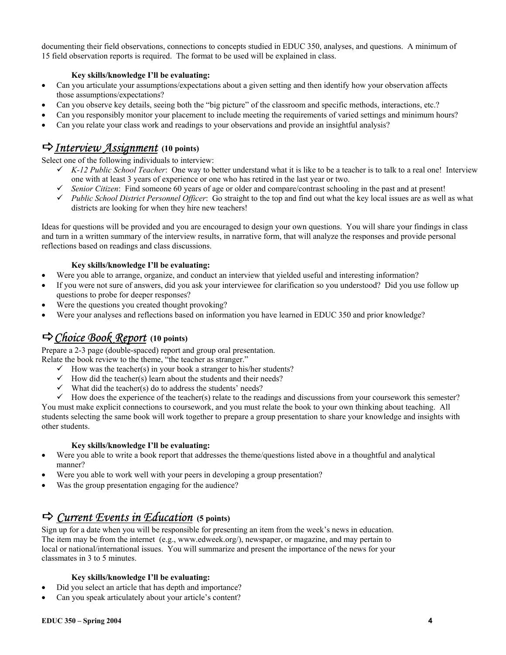documenting their field observations, connections to concepts studied in EDUC 350, analyses, and questions. A minimum of 15 field observation reports is required. The format to be used will be explained in class.

### **Key skills/knowledge I'll be evaluating:**

- Can you articulate your assumptions/expectations about a given setting and then identify how your observation affects those assumptions/expectations?
- Can you observe key details, seeing both the "big picture" of the classroom and specific methods, interactions, etc.?
- Can you responsibly monitor your placement to include meeting the requirements of varied settings and minimum hours?
- Can you relate your class work and readings to your observations and provide an insightful analysis?

## D*Interview Assignment* **(10 points)**

Select one of the following individuals to interview:

- $\checkmark$  K-12 Public School Teacher: One way to better understand what it is like to be a teacher is to talk to a real one! Interview one with at least 3 years of experience or one who has retired in the last year or two.
- 9 *Senior Citizen*: Find someone 60 years of age or older and compare/contrast schooling in the past and at present!
- 9 *Public School District Personnel Officer*: Go straight to the top and find out what the key local issues are as well as what districts are looking for when they hire new teachers!

Ideas for questions will be provided and you are encouraged to design your own questions. You will share your findings in class and turn in a written summary of the interview results, in narrative form, that will analyze the responses and provide personal reflections based on readings and class discussions.

### **Key skills/knowledge I'll be evaluating:**

- Were you able to arrange, organize, and conduct an interview that yielded useful and interesting information?
- If you were not sure of answers, did you ask your interviewee for clarification so you understood? Did you use follow up questions to probe for deeper responses?
- Were the questions you created thought provoking?
- Were your analyses and reflections based on information you have learned in EDUC 350 and prior knowledge?

## D*Choice Book Report* **(10 points)**

Prepare a 2-3 page (double-spaced) report and group oral presentation.

Relate the book review to the theme, "the teacher as stranger."

- $\checkmark$  How was the teacher(s) in your book a stranger to his/her students?
- $\checkmark$  How did the teacher(s) learn about the students and their needs?
- $\checkmark$  What did the teacher(s) do to address the students' needs?

 $\checkmark$  How does the experience of the teacher(s) relate to the readings and discussions from your coursework this semester? You must make explicit connections to coursework, and you must relate the book to your own thinking about teaching. All students selecting the same book will work together to prepare a group presentation to share your knowledge and insights with other students.

### **Key skills/knowledge I'll be evaluating:**

- Were you able to write a book report that addresses the theme/questions listed above in a thoughtful and analytical manner?
- Were you able to work well with your peers in developing a group presentation?
- Was the group presentation engaging for the audience?

# D *Current Events in Education* **(5 points)**

Sign up for a date when you will be responsible for presenting an item from the week's news in education. The item may be from the internet (e.g., www.edweek.org/), newspaper, or magazine, and may pertain to local or national/international issues. You will summarize and present the importance of the news for your classmates in 3 to 5 minutes.

### **Key skills/knowledge I'll be evaluating:**

- Did you select an article that has depth and importance?
- Can you speak articulately about your article's content?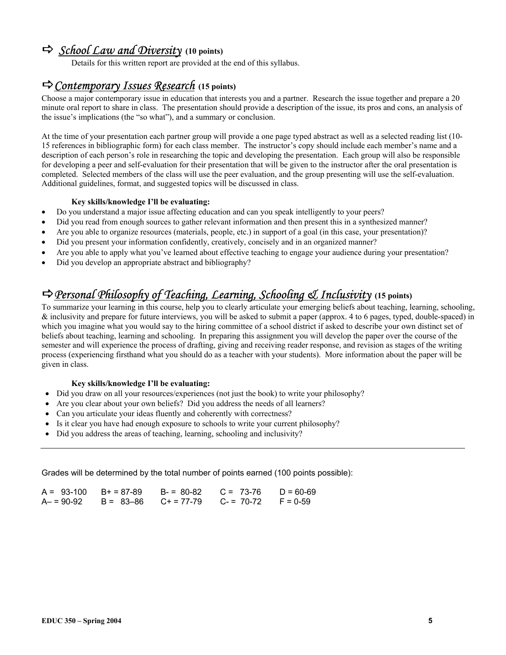## D*School Law and Diversity* **(10 points)**

Details for this written report are provided at the end of this syllabus.

## D*Contemporary Issues Research* **(15 points)**

Choose a major contemporary issue in education that interests you and a partner. Research the issue together and prepare a 20 minute oral report to share in class. The presentation should provide a description of the issue, its pros and cons, an analysis of the issue's implications (the "so what"), and a summary or conclusion.

At the time of your presentation each partner group will provide a one page typed abstract as well as a selected reading list (10- 15 references in bibliographic form) for each class member. The instructor's copy should include each member's name and a description of each person's role in researching the topic and developing the presentation. Each group will also be responsible for developing a peer and self-evaluation for their presentation that will be given to the instructor after the oral presentation is completed. Selected members of the class will use the peer evaluation, and the group presenting will use the self-evaluation. Additional guidelines, format, and suggested topics will be discussed in class.

### **Key skills/knowledge I'll be evaluating:**

- Do you understand a major issue affecting education and can you speak intelligently to your peers?
- Did you read from enough sources to gather relevant information and then present this in a synthesized manner?
- Are you able to organize resources (materials, people, etc.) in support of a goal (in this case, your presentation)?
- Did you present your information confidently, creatively, concisely and in an organized manner?
- Are you able to apply what you've learned about effective teaching to engage your audience during your presentation?
- Did you develop an appropriate abstract and bibliography?

# D*Personal Philosophy of Teaching, Learning, Schooling & Inclusivity* **(15 points)**

To summarize your learning in this course, help you to clearly articulate your emerging beliefs about teaching, learning, schooling, & inclusivity and prepare for future interviews, you will be asked to submit a paper (approx. 4 to 6 pages, typed, double-spaced) in which you imagine what you would say to the hiring committee of a school district if asked to describe your own distinct set of beliefs about teaching, learning and schooling. In preparing this assignment you will develop the paper over the course of the semester and will experience the process of drafting, giving and receiving reader response, and revision as stages of the writing process (experiencing firsthand what you should do as a teacher with your students). More information about the paper will be given in class.

### **Key skills/knowledge I'll be evaluating:**

- Did you draw on all your resources/experiences (not just the book) to write your philosophy?
- Are you clear about your own beliefs? Did you address the needs of all learners?
- Can you articulate your ideas fluently and coherently with correctness?
- Is it clear you have had enough exposure to schools to write your current philosophy?
- Did you address the areas of teaching, learning, schooling and inclusivity?

Grades will be determined by the total number of points earned (100 points possible):

|  | $A = 93-100$ B+ = 87-89 B- = 80-82 C = 73-76 D = 60-69 |  |
|--|--------------------------------------------------------|--|
|  | $A = 90-92$ B = 83-86 C + = 77-79 C = 70-72 F = 0-59   |  |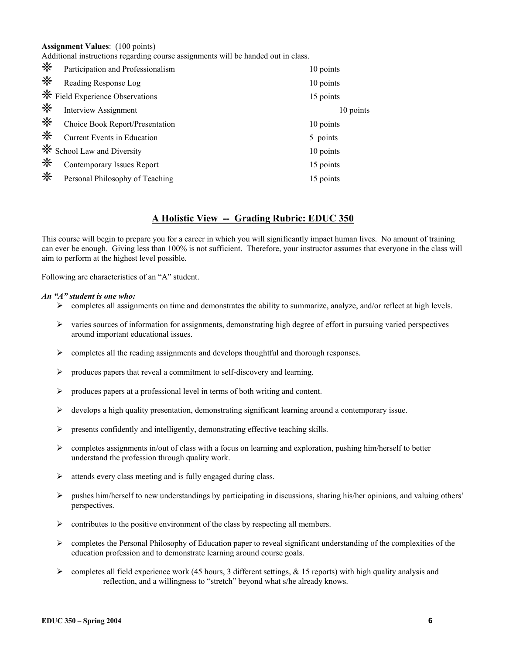**Assignment Values**: (100 points)

Additional instructions regarding course assignments will be handed out in class.

| ☀ | Participation and Professionalism      | 10 points |
|---|----------------------------------------|-----------|
| ☀ | Reading Response Log                   | 10 points |
|   | <b>※</b> Field Experience Observations | 15 points |
| ☀ | <b>Interview Assignment</b>            | 10 points |
| ☀ | Choice Book Report/Presentation        | 10 points |
| ☀ | Current Events in Education            | 5 points  |
| ☀ | School Law and Diversity               | 10 points |
| ☀ | Contemporary Issues Report             | 15 points |
| ☀ | Personal Philosophy of Teaching        | 15 points |

### **A Holistic View -- Grading Rubric: EDUC 350**

This course will begin to prepare you for a career in which you will significantly impact human lives. No amount of training can ever be enough. Giving less than 100% is not sufficient. Therefore, your instructor assumes that everyone in the class will aim to perform at the highest level possible.

Following are characteristics of an "A" student.

#### *An "A" student is one who:*

- $\triangleright$  completes all assignments on time and demonstrates the ability to summarize, analyze, and/or reflect at high levels.
- $\triangleright$  varies sources of information for assignments, demonstrating high degree of effort in pursuing varied perspectives around important educational issues.
- $\triangleright$  completes all the reading assignments and develops thoughtful and thorough responses.
- $\triangleright$  produces papers that reveal a commitment to self-discovery and learning.
- ¾ produces papers at a professional level in terms of both writing and content.
- $\triangleright$  develops a high quality presentation, demonstrating significant learning around a contemporary issue.
- $\triangleright$  presents confidently and intelligently, demonstrating effective teaching skills.
- $\triangleright$  completes assignments in/out of class with a focus on learning and exploration, pushing him/herself to better understand the profession through quality work.
- $\triangleright$  attends every class meeting and is fully engaged during class.
- $\triangleright$  pushes him/herself to new understandings by participating in discussions, sharing his/her opinions, and valuing others' perspectives.
- $\triangleright$  contributes to the positive environment of the class by respecting all members.
- $\triangleright$  completes the Personal Philosophy of Education paper to reveal significant understanding of the complexities of the education profession and to demonstrate learning around course goals.
- $\triangleright$  completes all field experience work (45 hours, 3 different settings, & 15 reports) with high quality analysis and reflection, and a willingness to "stretch" beyond what s/he already knows.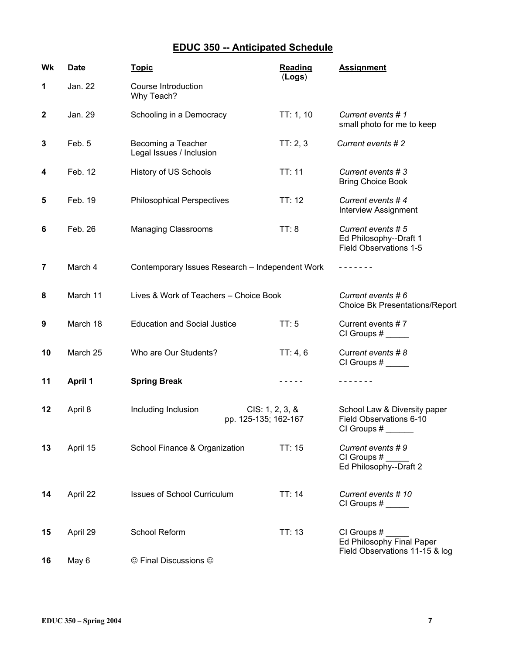## **EDUC 350 -- Anticipated Schedule**

| Wk               | <b>Date</b>    | <b>Topic</b>                                                   | <b>Reading</b><br>(Logs) | <b>Assignment</b>                                                          |
|------------------|----------------|----------------------------------------------------------------|--------------------------|----------------------------------------------------------------------------|
| 1                | Jan. 22        | Course Introduction<br>Why Teach?                              |                          |                                                                            |
| $\boldsymbol{2}$ | Jan. 29        | Schooling in a Democracy                                       | TT: 1, 10                | Current events #1<br>small photo for me to keep                            |
| 3                | Feb. 5         | Becoming a Teacher<br>Legal Issues / Inclusion                 | TT: 2, 3                 | Current events #2                                                          |
| 4                | Feb. 12        | <b>History of US Schools</b>                                   | TT: 11                   | Current events #3<br><b>Bring Choice Book</b>                              |
| 5                | Feb. 19        | <b>Philosophical Perspectives</b>                              | TT: 12                   | Current events #4<br><b>Interview Assignment</b>                           |
| 6                | Feb. 26        | <b>Managing Classrooms</b>                                     | TT: 8                    | Current events #5<br>Ed Philosophy--Draft 1<br>Field Observations 1-5      |
| 7                | March 4        | Contemporary Issues Research - Independent Work                |                          | -------                                                                    |
| 8                | March 11       | Lives & Work of Teachers - Choice Book                         |                          | Current events # 6<br><b>Choice Bk Presentations/Report</b>                |
| 9                | March 18       | <b>Education and Social Justice</b>                            | TT:5                     | Current events #7                                                          |
| 10               | March 25       | Who are Our Students?                                          | TT: 4, 6                 | Current events #8                                                          |
| 11               | <b>April 1</b> | <b>Spring Break</b>                                            | -----                    | -------                                                                    |
| 12               | April 8        | Including Inclusion<br>CIS: 1, 2, 3, 8<br>pp. 125-135; 162-167 |                          | School Law & Diversity paper<br>Field Observations 6-10<br>CI Groups #     |
| 13               | April 15       | School Finance & Organization                                  | TT: 15                   | Current events #9<br>CI Groups $#$<br>Ed Philosophy--Draft 2               |
| 14               | April 22       | <b>Issues of School Curriculum</b>                             | TT: 14                   | Current events #10                                                         |
| 15               | April 29       | School Reform                                                  | TT:13                    | CI Groups #<br>Ed Philosophy Final Paper<br>Field Observations 11-15 & log |
| 16               | May 6          | © Final Discussions ©                                          |                          |                                                                            |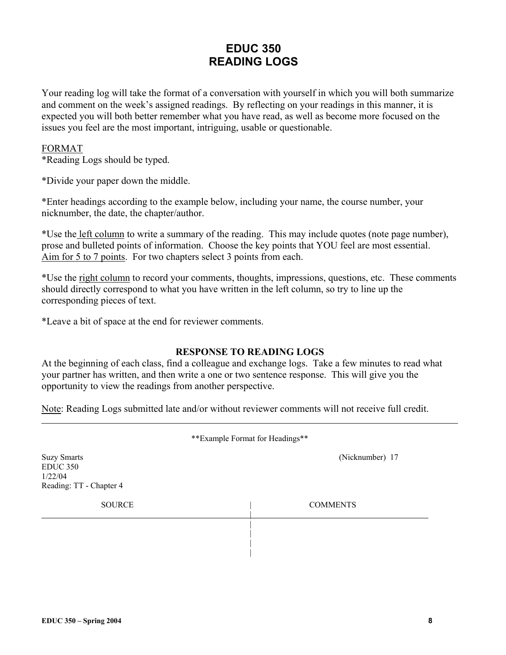## **EDUC 350 READING LOGS**

Your reading log will take the format of a conversation with yourself in which you will both summarize and comment on the week's assigned readings. By reflecting on your readings in this manner, it is expected you will both better remember what you have read, as well as become more focused on the issues you feel are the most important, intriguing, usable or questionable.

### FORMAT

\*Reading Logs should be typed.

\*Divide your paper down the middle.

\*Enter headings according to the example below, including your name, the course number, your nicknumber, the date, the chapter/author.

\*Use the left column to write a summary of the reading. This may include quotes (note page number), prose and bulleted points of information. Choose the key points that YOU feel are most essential. Aim for 5 to 7 points. For two chapters select 3 points from each.

\*Use the right column to record your comments, thoughts, impressions, questions, etc. These comments should directly correspond to what you have written in the left column, so try to line up the corresponding pieces of text.

\*Leave a bit of space at the end for reviewer comments.

### **RESPONSE TO READING LOGS**

At the beginning of each class, find a colleague and exchange logs. Take a few minutes to read what your partner has written, and then write a one or two sentence response. This will give you the opportunity to view the readings from another perspective.

Note: Reading Logs submitted late and/or without reviewer comments will not receive full credit.

| **Example Format for Headings**                                             |                 |  |  |  |
|-----------------------------------------------------------------------------|-----------------|--|--|--|
| <b>Suzy Smarts</b><br><b>EDUC 350</b><br>1/22/04<br>Reading: TT - Chapter 4 | (Nicknumber) 17 |  |  |  |
| <b>SOURCE</b>                                                               | <b>COMMENTS</b> |  |  |  |
|                                                                             |                 |  |  |  |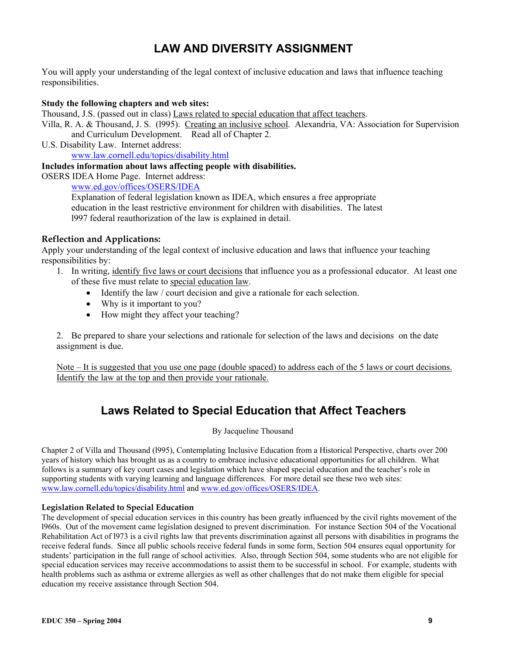# **LAW AND DIVERSITY ASSIGNMENT**

You will apply your understanding of the legal context of inclusive education and laws that influence teaching responsibilities.

### **Study the following chapters and web sites:**

Thousand, J.S. (passed out in class) Laws related to special education that affect teachers.

Villa, R. A. & Thousand, J. S. (l995). Creating an inclusive school. Alexandria, VA: Association for Supervision and Curriculum Development. Read all of Chapter 2.

U.S. Disability Law. Internet address:

www.law.cornell.edu/topics/disability.html

### **Includes information about laws affecting people with disabilities.**

OSERS IDEA Home Page. Internet address:

www.ed.gov/offices/OSERS/IDEA

Explanation of federal legislation known as IDEA, which ensures a free appropriate education in the least restrictive environment for children with disabilities. The latest l997 federal reauthorization of the law is explained in detail.

### **Reflection and Applications:**

Apply your understanding of the legal context of inclusive education and laws that influence your teaching responsibilities by:

- 1. In writing, identify five laws or court decisions that influence you as a professional educator. At least one of these five must relate to special education law.
	- Identify the law / court decision and give a rationale for each selection.
	- Why is it important to you?
	- How might they affect your teaching?

2. Be prepared to share your selections and rationale for selection of the laws and decisions on the date assignment is due.

Note – It is suggested that you use one page (double spaced) to address each of the 5 laws or court decisions. Identify the law at the top and then provide your rationale.

## **Laws Related to Special Education that Affect Teachers**

By Jacqueline Thousand

Chapter 2 of Villa and Thousand (l995), Contemplating Inclusive Education from a Historical Perspective, charts over 200 years of history which has brought us as a country to embrace inclusive educational opportunities for all children. What follows is a summary of key court cases and legislation which have shaped special education and the teacher's role in supporting students with varying learning and language differences. For more detail see these two web sites: www.law.cornell.edu/topics/disability.html and www.ed.gov/offices/OSERS/IDEA.

### **Legislation Related to Special Education**

The development of special education services in this country has been greatly influenced by the civil rights movement of the l960s. Out of the movement came legislation designed to prevent discrimination. For instance Section 504 of the Vocational Rehabilitation Act of l973 is a civil rights law that prevents discrimination against all persons with disabilities in programs the receive federal funds. Since all public schools receive federal funds in some form, Section 504 ensures equal opportunity for students' participation in the full range of school activities. Also, through Section 504, some students who are not eligible for special education services may receive accommodations to assist them to be successful in school. For example, students with health problems such as asthma or extreme allergies as well as other challenges that do not make them eligible for special education my receive assistance through Section 504.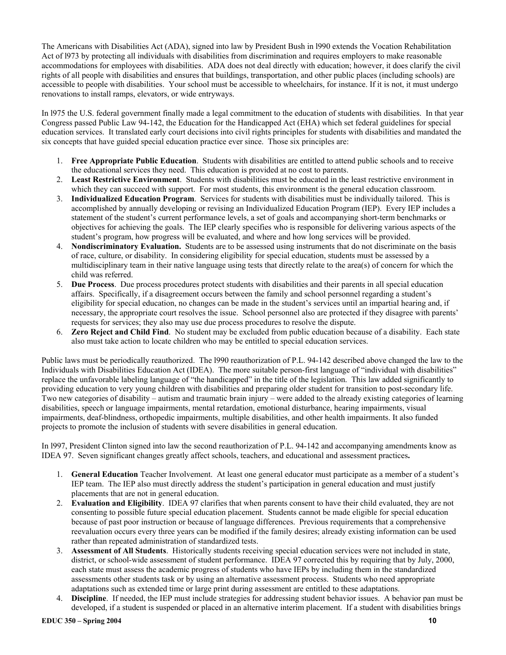The Americans with Disabilities Act (ADA), signed into law by President Bush in l990 extends the Vocation Rehabilitation Act of l973 by protecting all individuals with disabilities from discrimination and requires employers to make reasonable accommodations for employees with disabilities. ADA does not deal directly with education; however, it does clarify the civil rights of all people with disabilities and ensures that buildings, transportation, and other public places (including schools) are accessible to people with disabilities. Your school must be accessible to wheelchairs, for instance. If it is not, it must undergo renovations to install ramps, elevators, or wide entryways.

In l975 the U.S. federal government finally made a legal commitment to the education of students with disabilities. In that year Congress passed Public Law 94-142, the Education for the Handicapped Act (EHA) which set federal guidelines for special education services. It translated early court decisions into civil rights principles for students with disabilities and mandated the six concepts that have guided special education practice ever since. Those six principles are:

- 1. **Free Appropriate Public Education**. Students with disabilities are entitled to attend public schools and to receive the educational services they need. This education is provided at no cost to parents.
- 2. **Least Restrictive Environment**. Students with disabilities must be educated in the least restrictive environment in which they can succeed with support. For most students, this environment is the general education classroom.
- 3. **Individualized Education Program**. Services for students with disabilities must be individually tailored. This is accomplished by annually developing or revising an Individualized Education Program (IEP). Every IEP includes a statement of the student's current performance levels, a set of goals and accompanying short-term benchmarks or objectives for achieving the goals. The IEP clearly specifies who is responsible for delivering various aspects of the student's program, how progress will be evaluated, and where and how long services will be provided.
- 4. **Nondiscriminatory Evaluation.** Students are to be assessed using instruments that do not discriminate on the basis of race, culture, or disability. In considering eligibility for special education, students must be assessed by a multidisciplinary team in their native language using tests that directly relate to the area(s) of concern for which the child was referred.
- 5. **Due Process**. Due process procedures protect students with disabilities and their parents in all special education affairs. Specifically, if a disagreement occurs between the family and school personnel regarding a student's eligibility for special education, no changes can be made in the student's services until an impartial hearing and, if necessary, the appropriate court resolves the issue. School personnel also are protected if they disagree with parents' requests for services; they also may use due process procedures to resolve the dispute.
- 6. **Zero Reject and Child Find**. No student may be excluded from public education because of a disability. Each state also must take action to locate children who may be entitled to special education services.

Public laws must be periodically reauthorized. The l990 reauthorization of P.L. 94-142 described above changed the law to the Individuals with Disabilities Education Act (IDEA). The more suitable person-first language of "individual with disabilities" replace the unfavorable labeling language of "the handicapped" in the title of the legislation. This law added significantly to providing education to very young children with disabilities and preparing older student for transition to post-secondary life. Two new categories of disability – autism and traumatic brain injury – were added to the already existing categories of learning disabilities, speech or language impairments, mental retardation, emotional disturbance, hearing impairments, visual impairments, deaf-blindness, orthopedic impairments, multiple disabilities, and other health impairments. It also funded projects to promote the inclusion of students with severe disabilities in general education.

In l997, President Clinton signed into law the second reauthorization of P.L. 94-142 and accompanying amendments know as IDEA 97. Seven significant changes greatly affect schools, teachers, and educational and assessment practices**.** 

- 1. **General Education** Teacher Involvement. At least one general educator must participate as a member of a student's IEP team. The IEP also must directly address the student's participation in general education and must justify placements that are not in general education.
- 2. **Evaluation and Eligibility**. IDEA 97 clarifies that when parents consent to have their child evaluated, they are not consenting to possible future special education placement. Students cannot be made eligible for special education because of past poor instruction or because of language differences. Previous requirements that a comprehensive reevaluation occurs every three years can be modified if the family desires; already existing information can be used rather than repeated administration of standardized tests.
- 3. **Assessment of All Students**. Historically students receiving special education services were not included in state, district, or school-wide assessment of student performance. IDEA 97 corrected this by requiring that by July, 2000, each state must assess the academic progress of students who have IEPs by including them in the standardized assessments other students task or by using an alternative assessment process. Students who need appropriate adaptations such as extended time or large print during assessment are entitled to these adaptations.
- 4. **Discipline**. If needed, the IEP must include strategies for addressing student behavior issues. A behavior pan must be developed, if a student is suspended or placed in an alternative interim placement. If a student with disabilities brings